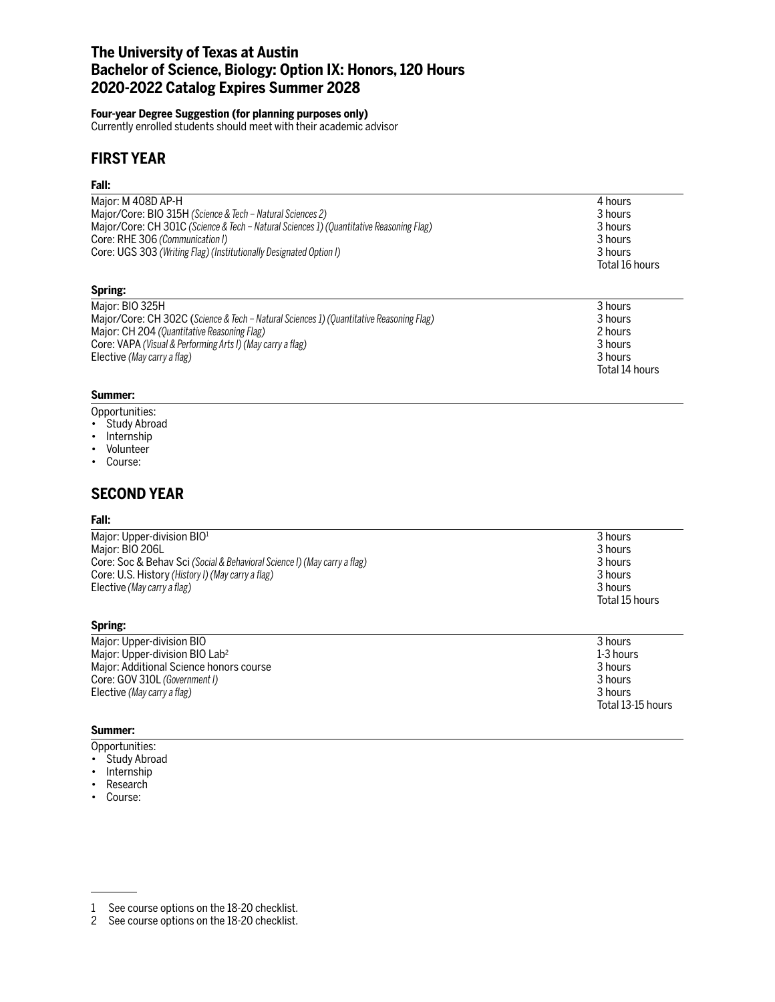## **The University of Texas at Austin Bachelor of Science, Biology: Option IX: Honors, 120 Hours 2020-2022 Catalog Expires Summer 2028**

### **Four-year Degree Suggestion (for planning purposes only)**

Currently enrolled students should meet with their academic advisor

## **FIRST YEAR**

### **Fall:**

| Major: M 408D AP-H                                                                      | 4 hours         |
|-----------------------------------------------------------------------------------------|-----------------|
| Major/Core: BIO 315H (Science & Tech - Natural Sciences 2)                              | 3 hours         |
| Major/Core: CH 301C (Science & Tech – Natural Sciences 1) (Quantitative Reasoning Flag) | 3 hours         |
| Core: RHE 306 (Communication I)                                                         | 3 hours         |
| Core: UGS 303 (Writing Flag) (Institutionally Designated Option I)                      | 3 hours         |
|                                                                                         | Total 16 hours  |
| Spring:                                                                                 |                 |
| Major: BIO 325H                                                                         | 3 hours         |
| Major/Core: CH 302C (Science & Tech – Natural Sciences 1) (Quantitative Reasoning Flag) | 3 hours         |
| $M_{\odot}$ : $\bigcap_{i=1}^{n} I_i \bigcap_{i=1}^{n} I_i$                             | $\Omega$ become |

| Major: CH 204 (Quantitative Reasoning Flag)                |  | 2 hours        |  |
|------------------------------------------------------------|--|----------------|--|
| Core: VAPA (Visual & Performing Arts I) (May carry a flag) |  | 3 hours        |  |
| Elective (May carry a flag)                                |  | 3 hours        |  |
|                                                            |  | Total 14 hours |  |

### **Summer:**

- Opportunities:
- Study Abroad
- Internship
- Volunteer
- Course:

# **SECOND YEAR**

#### **Fall:**

| 3 hours        |
|----------------|
| 3 hours        |
| 3 hours        |
| 3 hours        |
| 3 hours        |
| Total 15 hours |
|                |

| Major: Upper-division BIO                  | 3 hours           |
|--------------------------------------------|-------------------|
| Major: Upper-division BIO Lab <sup>2</sup> | 1-3 hours         |
| Major: Additional Science honors course    | 3 hours           |
| Core: GOV 310L (Government I)              | 3 hours           |
| Elective (May carry a flag)                | 3 hours           |
|                                            | Total 13-15 hours |
|                                            |                   |

### **Summer:**

**Spring:**

- Opportunities:
- Study Abroad
- Internship
- Research
- Course:

<sup>1</sup> See course options on the 18-20 checklist.

<sup>2</sup> See course options on the 18-20 checklist.